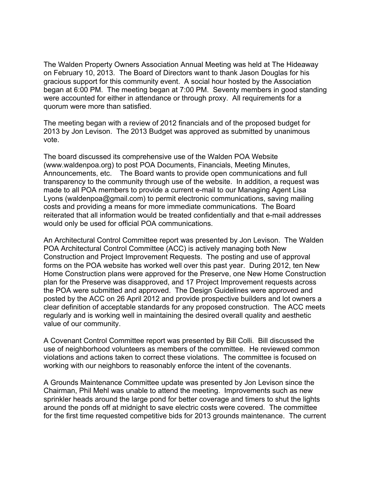The Walden Property Owners Association Annual Meeting was held at The Hideaway on February 10, 2013. The Board of Directors want to thank Jason Douglas for his gracious support for this community event. A social hour hosted by the Association began at 6:00 PM. The meeting began at 7:00 PM. Seventy members in good standing were accounted for either in attendance or through proxy. All requirements for a quorum were more than satisfied.

The meeting began with a review of 2012 financials and of the proposed budget for 2013 by Jon Levison. The 2013 Budget was approved as submitted by unanimous vote.

The board discussed its comprehensive use of the Walden POA Website (www.waldenpoa.org) to post POA Documents, Financials, Meeting Minutes, Announcements, etc. The Board wants to provide open communications and full transparency to the community through use of the website. In addition, a request was made to all POA members to provide a current e-mail to our Managing Agent Lisa Lyons (waldenpoa@gmail.com) to permit electronic communications, saving mailing costs and providing a means for more immediate communications. The Board reiterated that all information would be treated confidentially and that e-mail addresses would only be used for official POA communications.

An Architectural Control Committee report was presented by Jon Levison. The Walden POA Architectural Control Committee (ACC) is actively managing both New Construction and Project Improvement Requests. The posting and use of approval forms on the POA website has worked well over this past year. During 2012, ten New Home Construction plans were approved for the Preserve, one New Home Construction plan for the Preserve was disapproved, and 17 Project Improvement requests across the POA were submitted and approved. The Design Guidelines were approved and posted by the ACC on 26 April 2012 and provide prospective builders and lot owners a clear definition of acceptable standards for any proposed construction. The ACC meets regularly and is working well in maintaining the desired overall quality and aesthetic value of our community.

A Covenant Control Committee report was presented by Bill Colli. Bill discussed the use of neighborhood volunteers as members of the committee. He reviewed common violations and actions taken to correct these violations. The committee is focused on working with our neighbors to reasonably enforce the intent of the covenants.

A Grounds Maintenance Committee update was presented by Jon Levison since the Chairman, Phil Mehl was unable to attend the meeting. Improvements such as new sprinkler heads around the large pond for better coverage and timers to shut the lights around the ponds off at midnight to save electric costs were covered. The committee for the first time requested competitive bids for 2013 grounds maintenance. The current